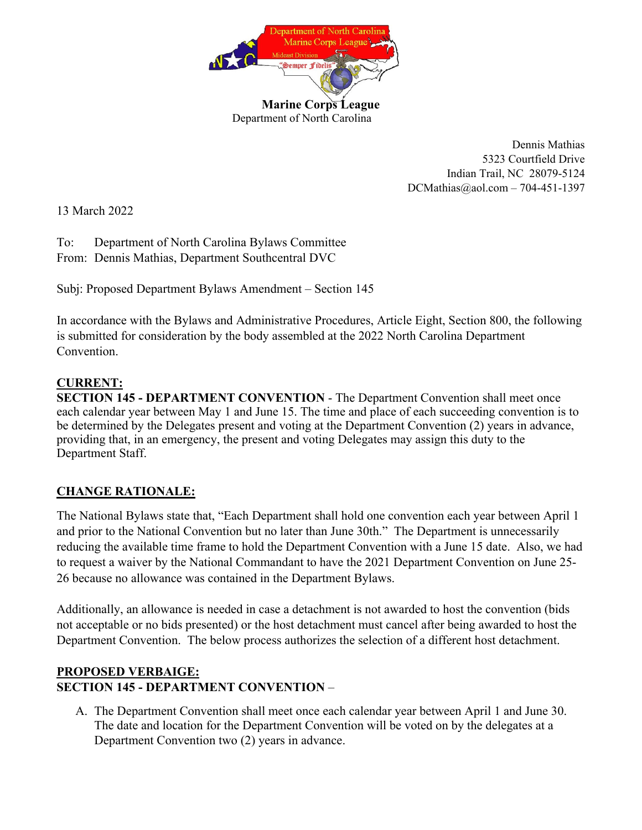

Dennis Mathias 5323 Courtfield Drive Indian Trail, NC 28079-5124 DCMathias@aol.com – 704-451-1397

13 March 2022

To: Department of North Carolina Bylaws Committee From: Dennis Mathias, Department Southcentral DVC

Subj: Proposed Department Bylaws Amendment – Section 145

In accordance with the Bylaws and Administrative Procedures, Article Eight, Section 800, the following is submitted for consideration by the body assembled at the 2022 North Carolina Department Convention.

## **CURRENT:**

**SECTION 145 - DEPARTMENT CONVENTION - The Department Convention shall meet once** each calendar year between May 1 and June 15. The time and place of each succeeding convention is to be determined by the Delegates present and voting at the Department Convention (2) years in advance, providing that, in an emergency, the present and voting Delegates may assign this duty to the Department Staff.

## **CHANGE RATIONALE:**

The National Bylaws state that, "Each Department shall hold one convention each year between April 1 and prior to the National Convention but no later than June 30th." The Department is unnecessarily reducing the available time frame to hold the Department Convention with a June 15 date. Also, we had to request a waiver by the National Commandant to have the 2021 Department Convention on June 25- 26 because no allowance was contained in the Department Bylaws.

Additionally, an allowance is needed in case a detachment is not awarded to host the convention (bids not acceptable or no bids presented) or the host detachment must cancel after being awarded to host the Department Convention. The below process authorizes the selection of a different host detachment.

## **PROPOSED VERBAIGE: SECTION 145 - DEPARTMENT CONVENTION** –

A. The Department Convention shall meet once each calendar year between April 1 and June 30. The date and location for the Department Convention will be voted on by the delegates at a Department Convention two (2) years in advance.